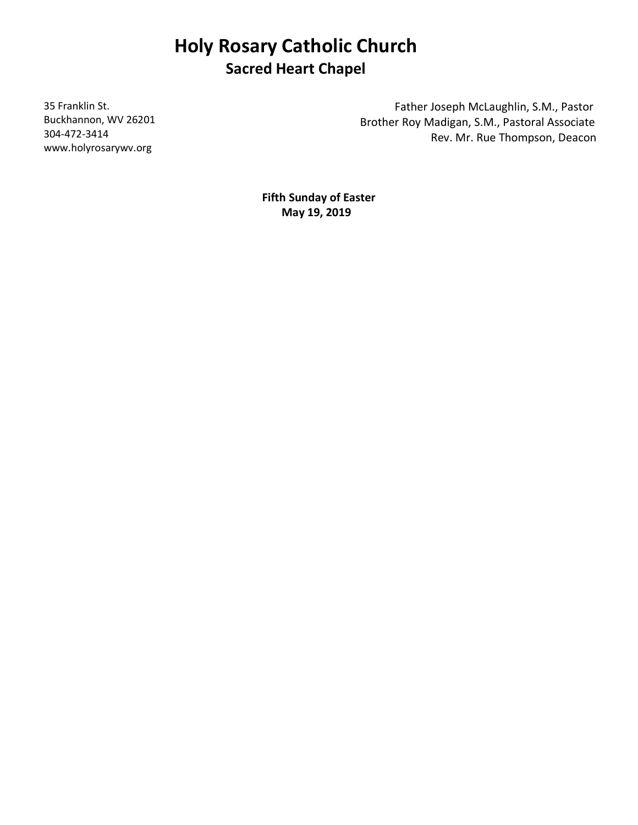# **Holy Rosary Catholic Church Sacred Heart Chapel**

35 Franklin St. Buckhannon, WV 26201 304-472-3414 www.holyrosarywv.org

 Father Joseph McLaughlin, S.M., Pastor Brother Roy Madigan, S.M., Pastoral Associate Rev. Mr. Rue Thompson, Deacon

**Fifth Sunday of Easter May 19, 2019**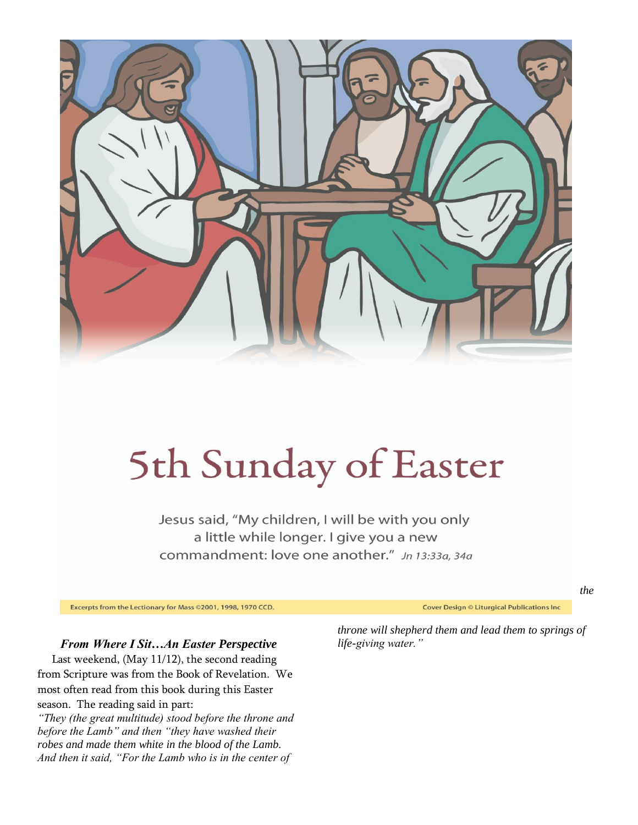

# 5th Sunday of Easter

Jesus said, "My children, I will be with you only a little while longer. I give you a new commandment: love one another." Jn 13:33a, 34a

Excerpts from the Lectionary for Mass 02001, 1998, 1970 CCD.

Cover Design © Liturgical Publications Inc

*the* 

#### *From Where I Sit…An Easter Perspective*

 Last weekend, (May 11/12), the second reading from Scripture was from the Book of Revelation. We most often read from this book during this Easter season. The reading said in part:

*"They (the great multitude) stood before the throne and before the Lamb" and then "they have washed their robes and made them white in the blood of the Lamb. And then it said, "For the Lamb who is in the center of* 

*throne will shepherd them and lead them to springs of life-giving water."*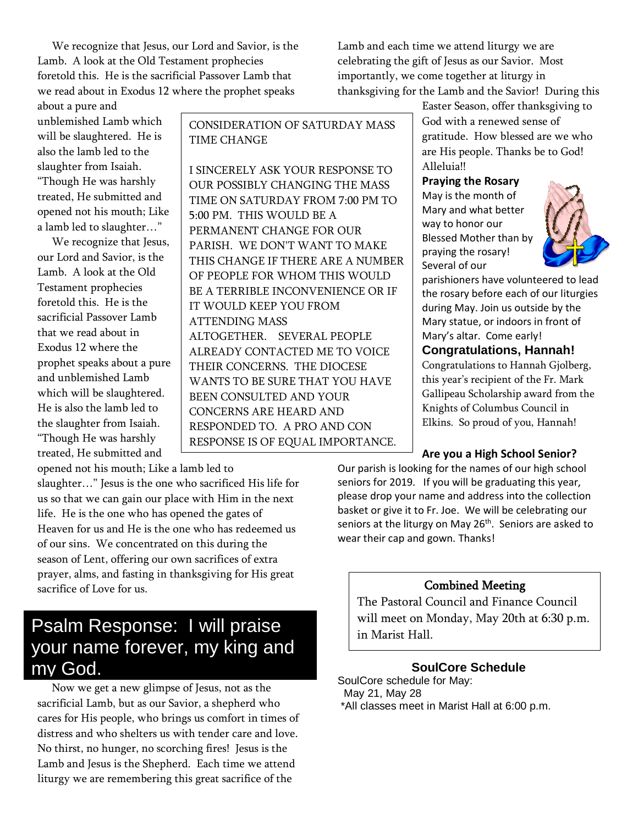We recognize that Jesus, our Lord and Savior, is the Lamb. A look at the Old Testament prophecies foretold this. He is the sacrificial Passover Lamb that we read about in Exodus 12 where the prophet speaks

Lamb and each time we attend liturgy we are celebrating the gift of Jesus as our Savior. Most importantly, we come together at liturgy in thanksgiving for the Lamb and the Savior! During this

about a pure and unblemished Lamb which will be slaughtered. He is also the lamb led to the slaughter from Isaiah. "Though He was harshly treated, He submitted and opened not his mouth; Like a lamb led to slaughter…"

 We recognize that Jesus, our Lord and Savior, is the Lamb. A look at the Old Testament prophecies foretold this. He is the sacrificial Passover Lamb that we read about in Exodus 12 where the prophet speaks about a pure and unblemished Lamb which will be slaughtered. He is also the lamb led to the slaughter from Isaiah. "Though He was harshly treated, He submitted and

CONSIDERATION OF SATURDAY MASS TIME CHANGE

I SINCERELY ASK YOUR RESPONSE TO OUR POSSIBLY CHANGING THE MASS TIME ON SATURDAY FROM 7:00 PM TO 5:00 PM. THIS WOULD BE A PERMANENT CHANGE FOR OUR PARISH. WE DON'T WANT TO MAKE THIS CHANGE IF THERE ARE A NUMBER OF PEOPLE FOR WHOM THIS WOULD BE A TERRIBLE INCONVENIENCE OR IF IT WOULD KEEP YOU FROM ATTENDING MASS ALTOGETHER. SEVERAL PEOPLE ALREADY CONTACTED ME TO VOICE THEIR CONCERNS. THE DIOCESE WANTS TO BE SURE THAT YOU HAVE BEEN CONSULTED AND YOUR CONCERNS ARE HEARD AND RESPONDED TO. A PRO AND CON RESPONSE IS OF EQUAL IMPORTANCE.

Easter Season, offer thanksgiving to God with a renewed sense of gratitude. How blessed are we who are His people. Thanks be to God! Alleluia!!

#### **Praying the Rosary**

May is the month of Mary and what better way to honor our Blessed Mother than by praying the rosary! Several of our



parishioners have volunteered to lead the rosary before each of our liturgies during May. Join us outside by the Mary statue, or indoors in front of Mary's altar. Come early!

**Congratulations, Hannah!**

Congratulations to Hannah Gjolberg, this year's recipient of the Fr. Mark Gallipeau Scholarship award from the Knights of Columbus Council in Elkins. So proud of you, Hannah!

## **Are you a High School Senior?**

Our parish is looking for the names of our high school seniors for 2019. If you will be graduating this year, please drop your name and address into the collection basket or give it to Fr. Joe. We will be celebrating our seniors at the liturgy on May 26<sup>th</sup>. Seniors are asked to wear their cap and gown. Thanks!

# Combined Meeting

The Pastoral Council and Finance Council will meet on Monday, May 20th at 6:30 p.m. in Marist Hall.

# **SoulCore Schedule**

SoulCore schedule for May: May 21, May 28 \*All classes meet in Marist Hall at 6:00 p.m.

opened not his mouth; Like a lamb led to THANK YOU.

slaughter…" Jesus is the one who sacrificed His life for us so that we can gain our place with Him in the next life. He is the one who has opened the gates of Heaven for us and He is the one who has redeemed us of our sins. We concentrated on this during the season of Lent, offering our own sacrifices of extra prayer, alms, and fasting in thanksgiving for His great sacrifice of Love for us.

# Psalm Response: I will praise your name forever, my king and my God.

 Now we get a new glimpse of Jesus, not as the sacrificial Lamb, but as our Savior, a shepherd who cares for His people, who brings us comfort in times of distress and who shelters us with tender care and love. No thirst, no hunger, no scorching fires! Jesus is the Lamb and Jesus is the Shepherd. Each time we attend liturgy we are remembering this great sacrifice of the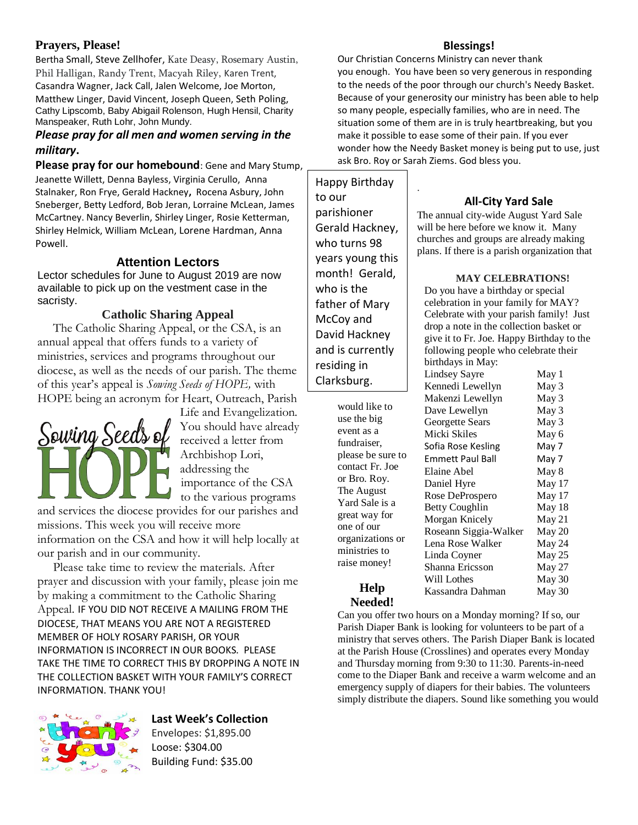# **Prayers, Please!**

Bertha Small, Steve Zellhofer, Kate Deasy, Rosemary Austin, Phil Halligan, Randy Trent, Macyah Riley, Karen Trent, Casandra Wagner, Jack Call, Jalen Welcome, Joe Morton, Matthew Linger, David Vincent, Joseph Queen, Seth Poling, Cathy Lipscomb, Baby Abigail Rolenson, Hugh Hensil, Charity Manspeaker, Ruth Lohr, John Mundy.

## *Please pray for all men and women serving in the military***.**

**Please pray for our homebound**: Gene and Mary Stump, Jeanette Willett, Denna Bayless, Virginia Cerullo, Anna Stalnaker, Ron Frye, Gerald Hackney**,** Rocena Asbury, John Sneberger, Betty Ledford, Bob Jeran, Lorraine McLean, James McCartney. Nancy Beverlin, Shirley Linger, Rosie Ketterman, Shirley Helmick, William McLean, Lorene Hardman, Anna Powell.

# **Attention Lectors**

Lector schedules for June to August 2019 are now available to pick up on the vestment case in the sacristy.

## **Catholic Sharing Appeal**

 The Catholic Sharing Appeal, or the CSA, is an annual appeal that offers funds to a variety of ministries, services and programs throughout our diocese, as well as the needs of our parish. The theme of this year's appeal is *Sowing Seeds of HOPE,* with HOPE being an acronym for Heart, Outreach, Parish



Life and Evangelization*.*  You should have already received a letter from Archbishop Lori, addressing the importance of the CSA to the various programs

and services the diocese provides for our parishes and missions. This week you will receive more information on the CSA and how it will help locally at

our parish and in our community.

 Please take time to review the materials. After prayer and discussion with your family, please join me by making a commitment to the Catholic Sharing Appeal. IF YOU DID NOT RECEIVE A MAILING FROM THE DIOCESE, THAT MEANS YOU ARE NOT A REGISTERED MEMBER OF HOLY ROSARY PARISH, OR YOUR INFORMATION IS INCORRECT IN OUR BOOKS. PLEASE TAKE THE TIME TO CORRECT THIS BY DROPPING A NOTE IN THE COLLECTION BASKET WITH YOUR FAMILY'S CORRECT INFORMATION. THANK YOU!



## **Last Week's Collection**

Envelopes: \$1,895.00 Loose: \$304.00 Building Fund: \$35.00

## **Blessings!**

Our Christian Concerns Ministry can never thank you enough. You have been so very generous in responding to the needs of the poor through our church's Needy Basket. Because of your generosity our ministry has been able to help so many people, especially families, who are in need. The situation some of them are in is truly heartbreaking, but you make it possible to ease some of their pain. If you ever wonder how the Needy Basket money is being put to use, just ask Bro. Roy or Sarah Ziems. God bless you.

.

Happy Birthday to our parishioner Gerald Hackney, who turns 98 years young this month! Gerald, who is the father of Mary McCoy and David Hackney and is currently residing in Clarksburg.

> would like to use the big event as a fundraiser, please be sure to contact Fr. Joe or Bro. Roy. The August Yard Sale is a great way for one of our organizations or ministries to raise money!

## **All-City Yard Sale**

The annual city-wide August Yard Sale will be here before we know it. Many churches and groups are already making plans. If there is a parish organization that

**MAY CELEBRATIONS!**

Do you have a birthday or special celebration in your family for MAY? Celebrate with your parish family! Just drop a note in the collection basket or give it to Fr. Joe. Happy Birthday to the following people who celebrate their birth

| birthdays in May:       |        |
|-------------------------|--------|
| Lindsey Sayre           | May 1  |
| Kennedi Lewellyn        | May 3  |
| Makenzi Lewellyn        | May 3  |
| Dave Lewellyn           | May 3  |
| Georgette Sears         | May 3  |
| Micki Skiles            | May 6  |
| Sofia Rose Kesling      | May 7  |
| <b>Emmett Paul Ball</b> | May 7  |
| Elaine Abel             | May 8  |
| Daniel Hyre             | May 17 |
| Rose DeProspero         | May 17 |
| Betty Coughlin          | May 18 |
| Morgan Knicely          | May 21 |
| Roseann Siggia-Walker   | May 20 |
| Lena Rose Walker        | May 24 |
| Linda Coyner            | May 25 |
| Shanna Ericsson         | May 27 |
| Will Lothes             | May 30 |
| Kassandra Dahman        | May 30 |
|                         |        |

#### **Help Needed!**

Can you offer two hours on a Monday morning? If so, our Parish Diaper Bank is looking for volunteers to be part of a ministry that serves others. The Parish Diaper Bank is located at the Parish House (Crosslines) and operates every Monday and Thursday morning from 9:30 to 11:30. Parents-in-need come to the Diaper Bank and receive a warm welcome and an emergency supply of diapers for their babies. The volunteers simply distribute the diapers. Sound like something you would